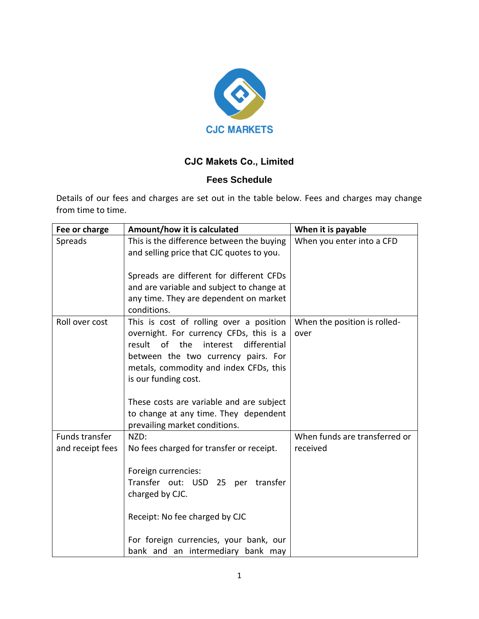

## **CJC Makets Co., Limited**

## **Fees Schedule**

Details of our fees and charges are set out in the table below. Fees and charges may change from time to time.

| Fee or charge    | Amount/how it is calculated                                                                                                                                                                                                              | When it is payable                   |
|------------------|------------------------------------------------------------------------------------------------------------------------------------------------------------------------------------------------------------------------------------------|--------------------------------------|
| Spreads          | This is the difference between the buying                                                                                                                                                                                                | When you enter into a CFD            |
|                  | and selling price that CJC quotes to you.                                                                                                                                                                                                |                                      |
|                  |                                                                                                                                                                                                                                          |                                      |
|                  | Spreads are different for different CFDs<br>and are variable and subject to change at                                                                                                                                                    |                                      |
|                  | any time. They are dependent on market                                                                                                                                                                                                   |                                      |
|                  | conditions.                                                                                                                                                                                                                              |                                      |
| Roll over cost   | This is cost of rolling over a position<br>overnight. For currency CFDs, this is a<br>result of the<br>interest<br>differential<br>between the two currency pairs. For<br>metals, commodity and index CFDs, this<br>is our funding cost. | When the position is rolled-<br>over |
|                  | These costs are variable and are subject                                                                                                                                                                                                 |                                      |
|                  | to change at any time. They dependent                                                                                                                                                                                                    |                                      |
|                  | prevailing market conditions.                                                                                                                                                                                                            |                                      |
| Funds transfer   | NZD:                                                                                                                                                                                                                                     | When funds are transferred or        |
| and receipt fees | No fees charged for transfer or receipt.                                                                                                                                                                                                 | received                             |
|                  | Foreign currencies:<br>Transfer out: USD 25<br>transfer<br>per<br>charged by CJC.                                                                                                                                                        |                                      |
|                  | Receipt: No fee charged by CJC                                                                                                                                                                                                           |                                      |
|                  | For foreign currencies, your bank, our                                                                                                                                                                                                   |                                      |
|                  | bank and an intermediary bank may                                                                                                                                                                                                        |                                      |